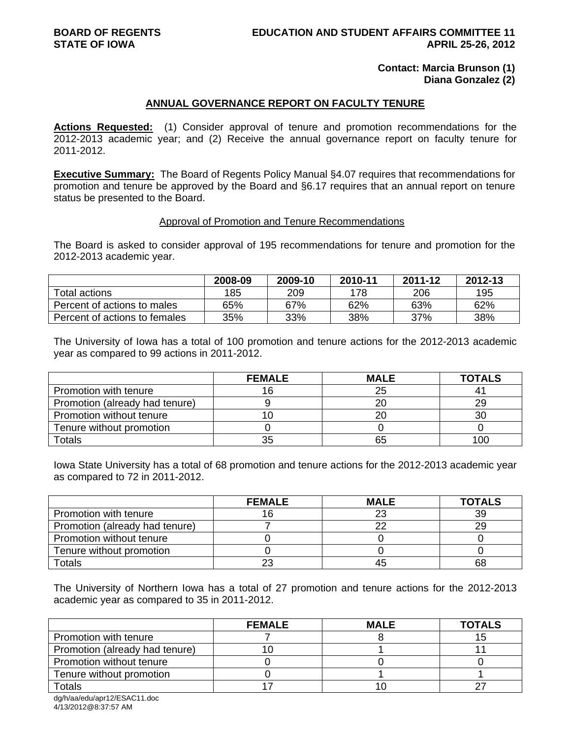## **Contact: Marcia Brunson (1) Diana Gonzalez (2)**

# **ANNUAL GOVERNANCE REPORT ON FACULTY TENURE**

**Actions Requested:** (1) Consider approval of tenure and promotion recommendations for the 2012-2013 academic year; and (2) Receive the annual governance report on faculty tenure for 2011-2012.

**Executive Summary:** The Board of Regents Policy Manual §4.07 requires that recommendations for promotion and tenure be approved by the Board and §6.17 requires that an annual report on tenure status be presented to the Board.

## Approval of Promotion and Tenure Recommendations

The Board is asked to consider approval of 195 recommendations for tenure and promotion for the 2012-2013 academic year.

|                               | 2008-09 | 2009-10 | 2010-11 | 2011-12 | 2012-13 |
|-------------------------------|---------|---------|---------|---------|---------|
| Total actions                 | 185     | 209     | 178     | 206     | 195     |
| Percent of actions to males   | 65%     | 67%     | 62%     | 63%     | 62%     |
| Percent of actions to females | 35%     | 33%     | 38%     | 37%     | 38%     |

The University of Iowa has a total of 100 promotion and tenure actions for the 2012-2013 academic year as compared to 99 actions in 2011-2012.

|                                | <b>FEMALE</b> | <b>MALE</b> | <b>TOTALS</b> |
|--------------------------------|---------------|-------------|---------------|
| Promotion with tenure          |               | 25          |               |
| Promotion (already had tenure) |               | 20          | 29            |
| Promotion without tenure       |               | 20          | 30            |
| Tenure without promotion       |               |             |               |
| Totals                         | 35            | 65          | 100           |

Iowa State University has a total of 68 promotion and tenure actions for the 2012-2013 academic year as compared to 72 in 2011-2012.

|                                | <b>FEMALE</b> | <b>MALE</b> | <b>TOTALS</b> |
|--------------------------------|---------------|-------------|---------------|
| Promotion with tenure          |               | 23          | 39            |
| Promotion (already had tenure) |               | າເ          | 29            |
| Promotion without tenure       |               |             |               |
| Tenure without promotion       |               |             |               |
| <b>Totals</b>                  | 23            | 45          | 68            |

The University of Northern Iowa has a total of 27 promotion and tenure actions for the 2012-2013 academic year as compared to 35 in 2011-2012.

|                                | <b>FEMALE</b> | <b>MALE</b> | <b>TOTALS</b> |
|--------------------------------|---------------|-------------|---------------|
| Promotion with tenure          |               |             |               |
| Promotion (already had tenure) |               |             |               |
| Promotion without tenure       |               |             |               |
| Tenure without promotion       |               |             |               |
| Totals                         |               |             |               |

dg/h/aa/edu/apr12/ESAC11.doc 4/13/2012@8:37:57 AM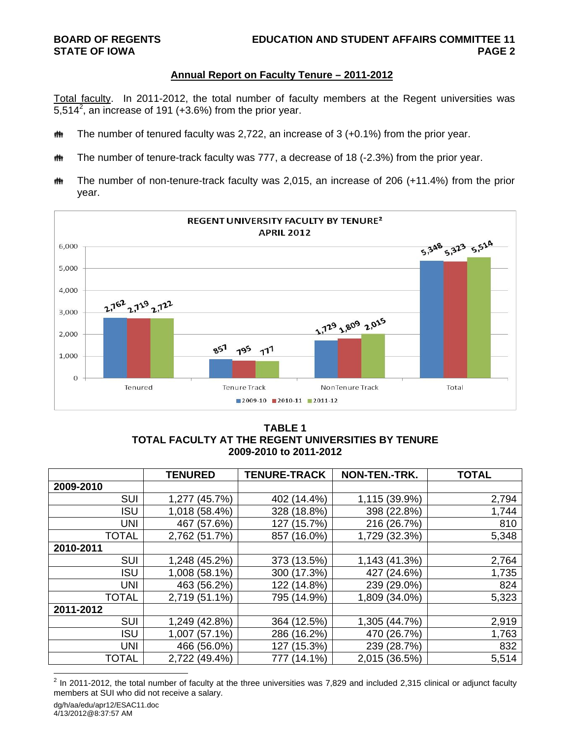## **Annual Report on Faculty Tenure – 2011-2012**

Total faculty. In 2011-2012, the total number of faculty members at the Regent universities was 5,514<sup>2</sup>, an increase of 191 (+3.6%) from the prior year.

- **##** The number of tenured faculty was 2,722, an increase of 3 (+0.1%) from the prior year.
- **##** The number of tenure-track faculty was 777, a decrease of 18 (-2.3%) from the prior year.
- **##** The number of non-tenure-track faculty was 2,015, an increase of 206 (+11.4%) from the prior year.



## **TABLE 1 TOTAL FACULTY AT THE REGENT UNIVERSITIES BY TENURE 2009-2010 to 2011-2012**

|              | <b>TENURED</b> | <b>TENURE-TRACK</b> | NON-TEN.-TRK. | <b>TOTAL</b> |
|--------------|----------------|---------------------|---------------|--------------|
| 2009-2010    |                |                     |               |              |
| <b>SUI</b>   | 1,277 (45.7%)  | 402 (14.4%)         | 1,115 (39.9%) | 2,794        |
| <b>ISU</b>   | 1,018 (58.4%)  | 328 (18.8%)         | 398 (22.8%)   | 1,744        |
| <b>UNI</b>   | (57.6%)<br>467 | (15.7%)<br>127      | 216 (26.7%)   | 810          |
| <b>TOTAL</b> | 2,762 (51.7%)  | $(16.0\%)$<br>857   | 1,729 (32.3%) | 5,348        |
| 2010-2011    |                |                     |               |              |
| <b>SUI</b>   | 1,248 (45.2%)  | 373 (13.5%)         | 1,143 (41.3%) | 2,764        |
| <b>ISU</b>   | 1,008 (58.1%)  | 300 (17.3%)         | 427 (24.6%)   | 1,735        |
| <b>UNI</b>   | 463 (56.2%)    | 122 (14.8%)         | 239 (29.0%)   | 824          |
| <b>TOTAL</b> | 2,719 (51.1%)  | 795 (14.9%)         | 1,809 (34.0%) | 5,323        |
| 2011-2012    |                |                     |               |              |
| <b>SUI</b>   | 1,249 (42.8%)  | 364 (12.5%)         | 1,305 (44.7%) | 2,919        |
| <b>ISU</b>   | 1,007 (57.1%)  | 286 (16.2%)         | 470 (26.7%)   | 1,763        |
| <b>UNI</b>   | 466 (56.0%)    | 127 (15.3%)         | 239 (28.7%)   | 832          |
| <b>TOTAL</b> | 2,722 (49.4%)  | $(14.1\%)$<br>777   | 2,015 (36.5%) | 5,514        |

<sup>&</sup>lt;u>2</u><br><sup>2</sup> In 2011-2012, the total number of faculty at the three universities was 7,829 and included 2,315 clinical or adjunct faculty members at SUI who did not receive a salary.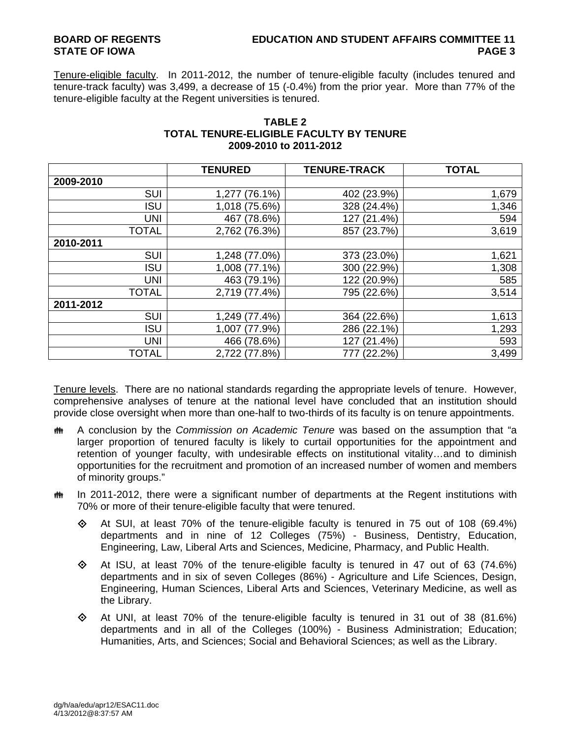## **BOARD OF REGENTS EDUCATION AND STUDENT AFFAIRS COMMITTEE 11 STATE OF IOWA** PAGE 3

Tenure-eligible faculty. In 2011-2012, the number of tenure-eligible faculty (includes tenured and tenure-track faculty) was 3,499, a decrease of 15 (-0.4%) from the prior year. More than 77% of the tenure-eligible faculty at the Regent universities is tenured.

|              | <b>TENURED</b>      | <b>TENURE-TRACK</b> | <b>TOTAL</b> |
|--------------|---------------------|---------------------|--------------|
| 2009-2010    |                     |                     |              |
| SUI          | $(76.1\%)$<br>1,277 | 402 (23.9%)         | 1,679        |
| <b>ISU</b>   | 1,018 (75.6%)       | 328 (24.4%)         | 1,346        |
| <b>UNI</b>   | 467 (78.6%)         | 127 (21.4%)         | 594          |
| <b>TOTAL</b> | 2,762 (76.3%)       | 857 (23.7%)         | 3,619        |
| 2010-2011    |                     |                     |              |
| SUI          | 1,248 (77.0%)       | 373 (23.0%)         | 1,621        |
| <b>ISU</b>   | 1,008 (77.1%)       | 300 (22.9%)         | 1,308        |
| <b>UNI</b>   | 463 (79.1%)         | 122 (20.9%)         | 585          |
| <b>TOTAL</b> | 2,719 (77.4%)       | 795 (22.6%)         | 3,514        |
| 2011-2012    |                     |                     |              |
| <b>SUI</b>   | 1,249 (77.4%)       | 364 (22.6%)         | 1,613        |
| <b>ISU</b>   | (77.9%)<br>1,007    | 286 (22.1%)         | 1,293        |
| <b>UNI</b>   | 466 (78.6%)         | 127 (21.4%)         | 593          |
| TOTAL        | 2,722 (77.8%)       | (22.2%)<br>777      | 3,499        |

## **TABLE 2 TOTAL TENURE-ELIGIBLE FACULTY BY TENURE 2009-2010 to 2011-2012**

Tenure levels. There are no national standards regarding the appropriate levels of tenure. However, comprehensive analyses of tenure at the national level have concluded that an institution should provide close oversight when more than one-half to two-thirds of its faculty is on tenure appointments.

- A conclusion by the *Commission on Academic Tenure* was based on the assumption that "a larger proportion of tenured faculty is likely to curtail opportunities for the appointment and retention of younger faculty, with undesirable effects on institutional vitality…and to diminish opportunities for the recruitment and promotion of an increased number of women and members of minority groups."
- $\ddot{\mathbf{m}}$  In 2011-2012, there were a significant number of departments at the Regent institutions with 70% or more of their tenure-eligible faculty that were tenured.
	- $\Diamond$  At SUI, at least 70% of the tenure-eligible faculty is tenured in 75 out of 108 (69.4%) departments and in nine of 12 Colleges (75%) - Business, Dentistry, Education, Engineering, Law, Liberal Arts and Sciences, Medicine, Pharmacy, and Public Health.
	- $\Diamond$  At ISU, at least 70% of the tenure-eligible faculty is tenured in 47 out of 63 (74.6%) departments and in six of seven Colleges (86%) - Agriculture and Life Sciences, Design, Engineering, Human Sciences, Liberal Arts and Sciences, Veterinary Medicine, as well as the Library.
	- $\Diamond$  At UNI, at least 70% of the tenure-eligible faculty is tenured in 31 out of 38 (81.6%) departments and in all of the Colleges (100%) - Business Administration; Education; Humanities, Arts, and Sciences; Social and Behavioral Sciences; as well as the Library.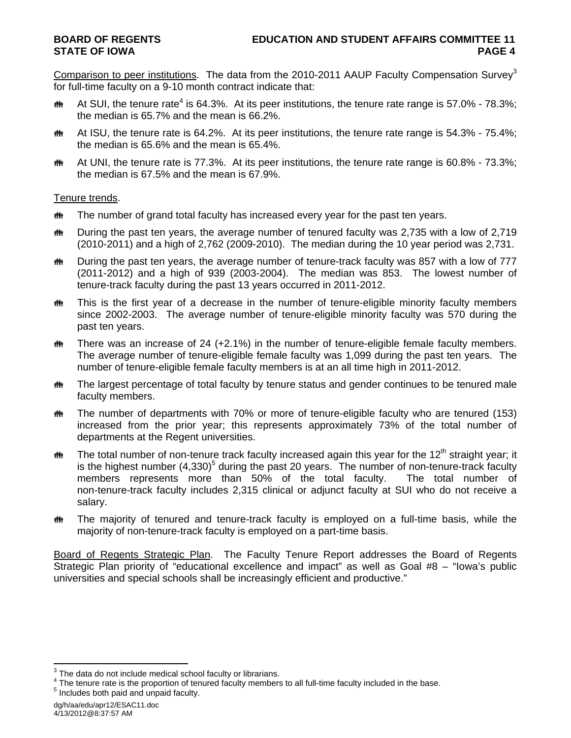Comparison to peer institutions. The data from the 2010-2011 AAUP Faculty Compensation Survey<sup>3</sup> for full-time faculty on a 9-10 month contract indicate that:

- **##** At SUI, the tenure rate<sup>4</sup> is 64.3%. At its peer institutions, the tenure rate range is 57.0% 78.3%; the median is 65.7% and the mean is 66.2%.
- **##** At ISU, the tenure rate is 64.2%. At its peer institutions, the tenure rate range is 54.3% 75.4%; the median is 65.6% and the mean is 65.4%.
- $\ddot{\mathbf{m}}$  At UNI, the tenure rate is 77.3%. At its peer institutions, the tenure rate range is 60.8% 73.3%; the median is 67.5% and the mean is 67.9%.

## Tenure trends.

- **##** The number of grand total faculty has increased every year for the past ten years.
- **##** During the past ten years, the average number of tenured faculty was 2,735 with a low of 2,719 (2010-2011) and a high of 2,762 (2009-2010). The median during the 10 year period was 2,731.
- the During the past ten years, the average number of tenure-track faculty was 857 with a low of 777 (2011-2012) and a high of 939 (2003-2004). The median was 853. The lowest number of tenure-track faculty during the past 13 years occurred in 2011-2012.
- **##** This is the first year of a decrease in the number of tenure-eligible minority faculty members since 2002-2003. The average number of tenure-eligible minority faculty was 570 during the past ten years.
- $m$  There was an increase of 24 (+2.1%) in the number of tenure-eligible female faculty members. The average number of tenure-eligible female faculty was 1,099 during the past ten years. The number of tenure-eligible female faculty members is at an all time high in 2011-2012.
- **##** The largest percentage of total faculty by tenure status and gender continues to be tenured male faculty members.
- The number of departments with 70% or more of tenure-eligible faculty who are tenured (153) increased from the prior year; this represents approximately 73% of the total number of departments at the Regent universities.
- $\ddot{\mathbf{m}}$  The total number of non-tenure track faculty increased again this year for the 12<sup>th</sup> straight year; it is the highest number  $(4,330)^5$  during the past 20 years. The number of non-tenure-track faculty members represents more than 50% of the total faculty. The total number of non-tenure-track faculty includes 2,315 clinical or adjunct faculty at SUI who do not receive a salary.
- **##** The majority of tenured and tenure-track faculty is employed on a full-time basis, while the majority of non-tenure-track faculty is employed on a part-time basis.

Board of Regents Strategic Plan. The Faculty Tenure Report addresses the Board of Regents Strategic Plan priority of "educational excellence and impact" as well as Goal #8 – "Iowa's public universities and special schools shall be increasingly efficient and productive."

dg/h/aa/edu/apr12/ESAC11.doc 4/13/2012@8:37:57 AM

**EXECUTE:**<br><sup>3</sup> The data do not include medical school faculty or librarians.

 $^{4}$  The tenure rate is the proportion of tenured faculty members to all full-time faculty included in the base.<br><sup>5</sup> includes heth neid and unneid faculty.  $<sup>5</sup>$  Includes both paid and unpaid faculty.</sup>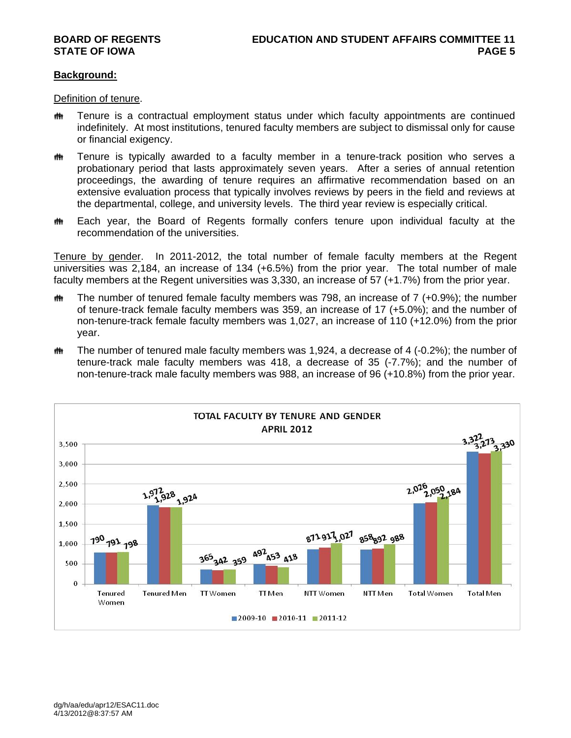## **Background:**

Definition of tenure.

- **##** Tenure is a contractual employment status under which faculty appointments are continued indefinitely. At most institutions, tenured faculty members are subject to dismissal only for cause or financial exigency.
- **##** Tenure is typically awarded to a faculty member in a tenure-track position who serves a probationary period that lasts approximately seven years. After a series of annual retention proceedings, the awarding of tenure requires an affirmative recommendation based on an extensive evaluation process that typically involves reviews by peers in the field and reviews at the departmental, college, and university levels. The third year review is especially critical.
- **##** Each year, the Board of Regents formally confers tenure upon individual faculty at the recommendation of the universities.

Tenure by gender. In 2011-2012, the total number of female faculty members at the Regent universities was 2,184, an increase of 134 (+6.5%) from the prior year. The total number of male faculty members at the Regent universities was 3,330, an increase of 57 (+1.7%) from the prior year.

- $m$  The number of tenured female faculty members was 798, an increase of 7 (+0.9%); the number of tenure-track female faculty members was 359, an increase of 17 (+5.0%); and the number of non-tenure-track female faculty members was 1,027, an increase of 110 (+12.0%) from the prior year.
- $\ddot{\mathbf{m}}$  The number of tenured male faculty members was 1,924, a decrease of 4 (-0.2%); the number of tenure-track male faculty members was 418, a decrease of 35 (-7.7%); and the number of non-tenure-track male faculty members was 988, an increase of 96 (+10.8%) from the prior year.

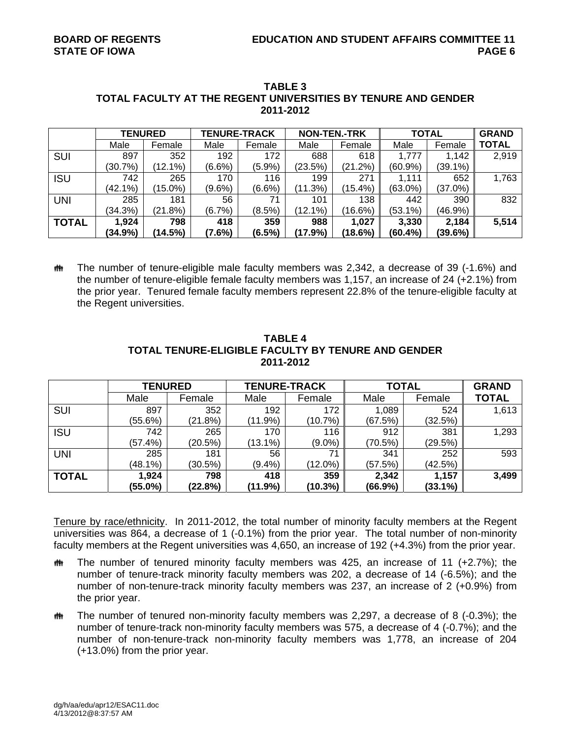|              | <b>TENURED</b> |            | <b>TENURE-TRACK</b> |           | <b>NON-TEN.-TRK</b> |            | <b>TOTAL</b> |            | <b>GRAND</b> |
|--------------|----------------|------------|---------------------|-----------|---------------------|------------|--------------|------------|--------------|
|              | Male           | Female     | Male                | Female    | Male                | Female     | Male         | Female     | <b>TOTAL</b> |
| <b>SUI</b>   | 897            | 352        | 192                 | 172       | 688                 | 618        | 1,777        | 1,142      | 2,919        |
|              | (30.7%)        | (12.1%)    | $(6.6\%)$           | (5.9%)    | (23.5%)             | (21.2%)    | $(60.9\%)$   | $(39.1\%)$ |              |
| <b>ISU</b>   | 742            | 265        | 170                 | 116       | 199                 | 271        | 1.111        | 652        | 1,763        |
|              | (42.1%)        | $(15.0\%)$ | $(9.6\%)$           | $(6.6\%)$ | (11.3%)             | $(15.4\%)$ | $(63.0\%)$   | $(37.0\%)$ |              |
| <b>UNI</b>   | 285            | 181        | 56                  | 71        | 101                 | 138        | 442          | 390        | 832          |
|              | (34.3%)        | (21.8%)    | $(6.7\%)$           | $(8.5\%)$ | (12.1%)             | (16.6%)    | $(53.1\%)$   | (46.9%)    |              |
| <b>TOTAL</b> | 1,924          | 798        | 418                 | 359       | 988                 | 1,027      | 3,330        | 2,184      | 5,514        |
|              | (34.9%)        | (14.5%)    | $(7.6\%)$           | $(6.5\%)$ | (17.9%)             | (18.6%)    | $(60.4\%)$   | (39.6%)    |              |

## **TABLE 3 TOTAL FACULTY AT THE REGENT UNIVERSITIES BY TENURE AND GENDER 2011-2012**

 The number of tenure-eligible male faculty members was 2,342, a decrease of 39 (-1.6%) and the number of tenure-eligible female faculty members was 1,157, an increase of 24 (+2.1%) from the prior year. Tenured female faculty members represent 22.8% of the tenure-eligible faculty at the Regent universities.

|              | <b>TENURED</b> |         | <b>TENURE-TRACK</b> |            | <b>TOTAL</b> | <b>GRAND</b> |              |
|--------------|----------------|---------|---------------------|------------|--------------|--------------|--------------|
|              | Male           | Female  | Male                | Female     | Male         | Female       | <b>TOTAL</b> |
| SUI          | 897            | 352     | 192                 | 172        | 1,089        | 524          | 1,613        |
|              | (55.6%)        | (21.8%) | $(11.9\%)$          | (10.7%)    | (67.5%)      | (32.5%)      |              |
| <b>ISU</b>   | 742            | 265     | 170                 | 116        | 912          | 381          | 1,293        |
|              | (57.4%)        | (20.5%) | $(13.1\%)$          | $(9.0\%)$  | (70.5%)      | (29.5%)      |              |
| <b>UNI</b>   | 285            | 181     | 56                  | 71         | 341          | 252          | 593          |
|              | $(48.1\%)$     | (30.5%) | $(9.4\%)$           | $(12.0\%)$ | (57.5%)      | (42.5%)      |              |
| <b>TOTAL</b> | 1,924          | 798     | 418                 | 359        | 2,342        | 1,157        | 3,499        |
|              | $(55.0\%)$     | (22.8%) | (11.9%)             | (10.3%)    | (66.9%)      | $(33.1\%)$   |              |

## **TABLE 4 TOTAL TENURE-ELIGIBLE FACULTY BY TENURE AND GENDER 2011-2012**

Tenure by race/ethnicity. In 2011-2012, the total number of minority faculty members at the Regent universities was 864, a decrease of 1 (-0.1%) from the prior year. The total number of non-minority faculty members at the Regent universities was 4,650, an increase of 192 (+4.3%) from the prior year.

- $m$  The number of tenured minority faculty members was 425, an increase of 11 (+2.7%); the number of tenure-track minority faculty members was 202, a decrease of 14 (-6.5%); and the number of non-tenure-track minority faculty members was 237, an increase of 2 (+0.9%) from the prior year.
- $m$  The number of tenured non-minority faculty members was 2,297, a decrease of 8 (-0.3%); the number of tenure-track non-minority faculty members was 575, a decrease of 4 (-0.7%); and the number of non-tenure-track non-minority faculty members was 1,778, an increase of 204 (+13.0%) from the prior year.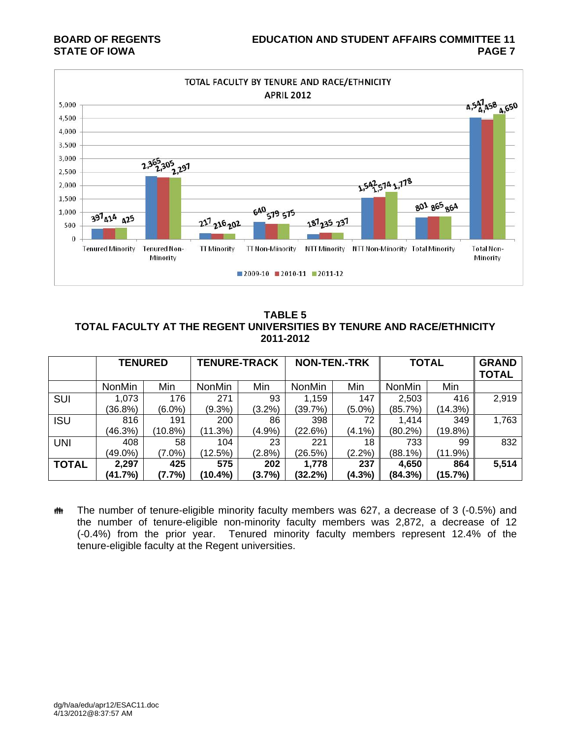

**TABLE 5 TOTAL FACULTY AT THE REGENT UNIVERSITIES BY TENURE AND RACE/ETHNICITY 2011-2012** 

|              | <b>TENURED</b> |         | <b>TENURE-TRACK</b> |           | <b>NON-TEN.-TRK</b> |           | <b>TOTAL</b>  |            | <b>GRAND</b><br><b>TOTAL</b> |
|--------------|----------------|---------|---------------------|-----------|---------------------|-----------|---------------|------------|------------------------------|
|              | <b>NonMin</b>  | Min     | <b>NonMin</b>       | Min       | <b>NonMin</b>       | Min       | <b>NonMin</b> | Min        |                              |
| SUI          | 1,073          | 176     | 271                 | 93        | 1,159               | 147       | 2,503         | 416        | 2,919                        |
|              | (36.8%)        | (6.0%)  | $(9.3\%)$           | $(3.2\%)$ | (39.7%)             | $(5.0\%)$ | (85.7%)       | (14.3%)    |                              |
| <b>ISU</b>   | 816            | 191     | 200                 | 86        | 398                 | 72        | 1.414         | 349        | 1,763                        |
|              | (46.3%)        | (10.8%) | (11.3%)             | (4.9%     | (22.6%)             | (4.1%)    | (80.2%)       | (19.8%)    |                              |
| <b>UNI</b>   | 408            | 58      | 104                 | 23        | 221                 | 18        | 733           | 99         | 832                          |
|              | $(49.0\%)$     | (7.0%)  | (12.5%)             | (2.8%)    | (26.5%)             | $(2.2\%)$ | (88.1%)       | $(11.9\%)$ |                              |
| <b>TOTAL</b> | 2,297          | 425     | 575                 | 202       | 1,778               | 237       | 4,650         | 864        | 5,514                        |
|              | (41.7%)        | (7.7%)  | $(10.4\%)$          | (3.7%)    | $(32.2\%)$          | (4.3%)    | (84.3%)       | (15.7%)    |                              |

**##** The number of tenure-eligible minority faculty members was 627, a decrease of 3 (-0.5%) and the number of tenure-eligible non-minority faculty members was 2,872, a decrease of 12 (-0.4%) from the prior year. Tenured minority faculty members represent 12.4% of the tenure-eligible faculty at the Regent universities.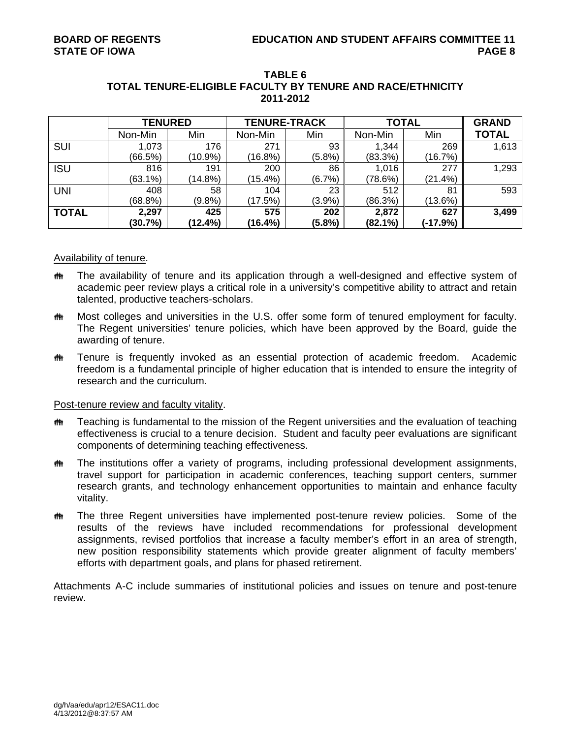|              | <b>TENURED</b> |            | <b>TENURE-TRACK</b> |           | <b>TOTAL</b> | <b>GRAND</b> |              |
|--------------|----------------|------------|---------------------|-----------|--------------|--------------|--------------|
|              | Non-Min        | Min        | Non-Min             | Min       | Non-Min      | Min          | <b>TOTAL</b> |
| <b>SUI</b>   | 1,073          | 176        | 271                 | 93        | 1.344        | 269          | 1,613        |
|              | (66.5%)        | $(10.9\%)$ | (16.8%)             | (5.8%)    | (83.3%)      | (16.7%)      |              |
| <b>ISU</b>   | 816            | 191        | 200                 | 86        | 1,016        | 277          | 1,293        |
|              | $(63.1\%)$     | $(14.8\%)$ | (15.4%)             | (6.7%)    | (78.6%)      | (21.4%)      |              |
| <b>UNI</b>   | 408            | 58         | 104                 | 23        | 512          | 81           | 593          |
|              | $(68.8\%)$     | (9.8%      | (17.5%)             | (3.9%)    | (86.3%)      | (13.6%)      |              |
| <b>TOTAL</b> | 2,297          | 425        | 575                 | 202       | 2,872        | 627          | 3,499        |
|              | (30.7%)        | (12.4%)    | (16.4%)             | $(5.8\%)$ | $(82.1\%)$   | (-17.9%)     |              |

## **TABLE 6 TOTAL TENURE-ELIGIBLE FACULTY BY TENURE AND RACE/ETHNICITY 2011-2012**

## Availability of tenure.

- The availability of tenure and its application through a well-designed and effective system of academic peer review plays a critical role in a university's competitive ability to attract and retain talented, productive teachers-scholars.
- **##** Most colleges and universities in the U.S. offer some form of tenured employment for faculty. The Regent universities' tenure policies, which have been approved by the Board, guide the awarding of tenure.
- Tenure is frequently invoked as an essential protection of academic freedom. Academic freedom is a fundamental principle of higher education that is intended to ensure the integrity of research and the curriculum.

## Post-tenure review and faculty vitality.

- $m$  Teaching is fundamental to the mission of the Regent universities and the evaluation of teaching effectiveness is crucial to a tenure decision. Student and faculty peer evaluations are significant components of determining teaching effectiveness.
- **##** The institutions offer a variety of programs, including professional development assignments, travel support for participation in academic conferences, teaching support centers, summer research grants, and technology enhancement opportunities to maintain and enhance faculty vitality.
- **##** The three Regent universities have implemented post-tenure review policies. Some of the results of the reviews have included recommendations for professional development assignments, revised portfolios that increase a faculty member's effort in an area of strength, new position responsibility statements which provide greater alignment of faculty members' efforts with department goals, and plans for phased retirement.

Attachments A-C include summaries of institutional policies and issues on tenure and post-tenure review.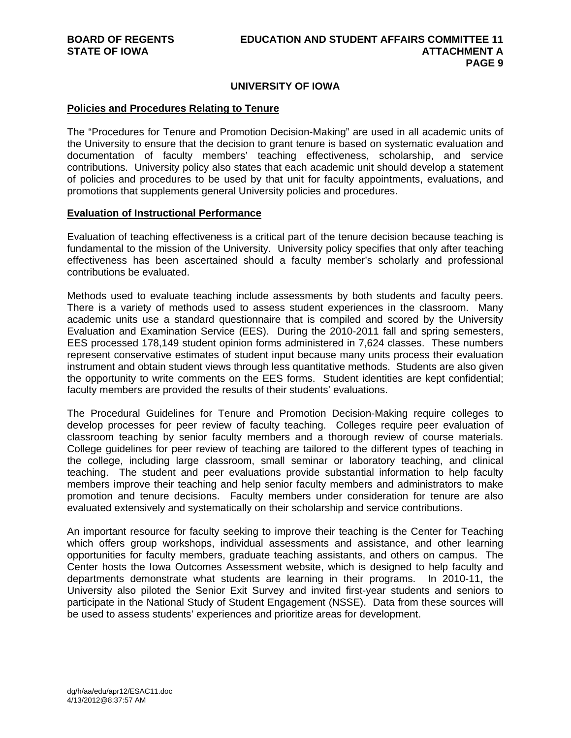## **UNIVERSITY OF IOWA**

#### **Policies and Procedures Relating to Tenure**

The "Procedures for Tenure and Promotion Decision-Making" are used in all academic units of the University to ensure that the decision to grant tenure is based on systematic evaluation and documentation of faculty members' teaching effectiveness, scholarship, and service contributions. University policy also states that each academic unit should develop a statement of policies and procedures to be used by that unit for faculty appointments, evaluations, and promotions that supplements general University policies and procedures.

## **Evaluation of Instructional Performance**

Evaluation of teaching effectiveness is a critical part of the tenure decision because teaching is fundamental to the mission of the University. University policy specifies that only after teaching effectiveness has been ascertained should a faculty member's scholarly and professional contributions be evaluated.

Methods used to evaluate teaching include assessments by both students and faculty peers. There is a variety of methods used to assess student experiences in the classroom. Many academic units use a standard questionnaire that is compiled and scored by the University Evaluation and Examination Service (EES). During the 2010-2011 fall and spring semesters, EES processed 178,149 student opinion forms administered in 7,624 classes. These numbers represent conservative estimates of student input because many units process their evaluation instrument and obtain student views through less quantitative methods. Students are also given the opportunity to write comments on the EES forms. Student identities are kept confidential; faculty members are provided the results of their students' evaluations.

The Procedural Guidelines for Tenure and Promotion Decision-Making require colleges to develop processes for peer review of faculty teaching. Colleges require peer evaluation of classroom teaching by senior faculty members and a thorough review of course materials. College guidelines for peer review of teaching are tailored to the different types of teaching in the college, including large classroom, small seminar or laboratory teaching, and clinical teaching. The student and peer evaluations provide substantial information to help faculty members improve their teaching and help senior faculty members and administrators to make promotion and tenure decisions. Faculty members under consideration for tenure are also evaluated extensively and systematically on their scholarship and service contributions.

An important resource for faculty seeking to improve their teaching is the Center for Teaching which offers group workshops, individual assessments and assistance, and other learning opportunities for faculty members, graduate teaching assistants, and others on campus. The Center hosts the Iowa Outcomes Assessment website, which is designed to help faculty and departments demonstrate what students are learning in their programs. In 2010-11, the University also piloted the Senior Exit Survey and invited first-year students and seniors to participate in the National Study of Student Engagement (NSSE). Data from these sources will be used to assess students' experiences and prioritize areas for development.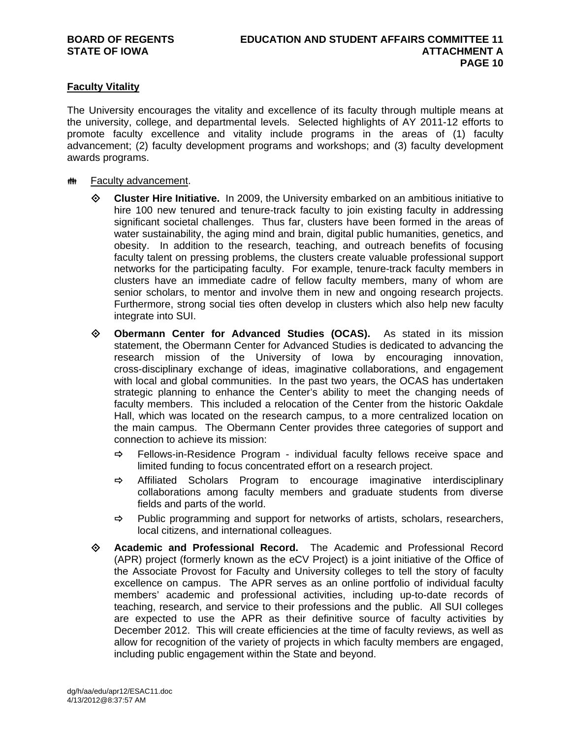## **Faculty Vitality**

The University encourages the vitality and excellence of its faculty through multiple means at the university, college, and departmental levels. Selected highlights of AY 2011-12 efforts to promote faculty excellence and vitality include programs in the areas of (1) faculty advancement; (2) faculty development programs and workshops; and (3) faculty development awards programs.

- **## Faculty advancement.** 
	- **Cluster Hire Initiative.** In 2009, the University embarked on an ambitious initiative to hire 100 new tenured and tenure-track faculty to join existing faculty in addressing significant societal challenges. Thus far, clusters have been formed in the areas of water sustainability, the aging mind and brain, digital public humanities, genetics, and obesity. In addition to the research, teaching, and outreach benefits of focusing faculty talent on pressing problems, the clusters create valuable professional support networks for the participating faculty. For example, tenure-track faculty members in clusters have an immediate cadre of fellow faculty members, many of whom are senior scholars, to mentor and involve them in new and ongoing research projects. Furthermore, strong social ties often develop in clusters which also help new faculty integrate into SUI.
	- **Obermann Center for Advanced Studies (OCAS).** As stated in its mission statement, the Obermann Center for Advanced Studies is dedicated to advancing the research mission of the University of Iowa by encouraging innovation, cross-disciplinary exchange of ideas, imaginative collaborations, and engagement with local and global communities. In the past two years, the OCAS has undertaken strategic planning to enhance the Center's ability to meet the changing needs of faculty members. This included a relocation of the Center from the historic Oakdale Hall, which was located on the research campus, to a more centralized location on the main campus. The Obermann Center provides three categories of support and connection to achieve its mission:
		- $\Rightarrow$  Fellows-in-Residence Program individual faculty fellows receive space and limited funding to focus concentrated effort on a research project.
		- $\Rightarrow$  Affiliated Scholars Program to encourage imaginative interdisciplinary collaborations among faculty members and graduate students from diverse fields and parts of the world.
		- $\Rightarrow$  Public programming and support for networks of artists, scholars, researchers, local citizens, and international colleagues.
	- **Academic and Professional Record.** The Academic and Professional Record (APR) project (formerly known as the eCV Project) is a joint initiative of the Office of the Associate Provost for Faculty and University colleges to tell the story of faculty excellence on campus. The APR serves as an online portfolio of individual faculty members' academic and professional activities, including up-to-date records of teaching, research, and service to their professions and the public. All SUI colleges are expected to use the APR as their definitive source of faculty activities by December 2012. This will create efficiencies at the time of faculty reviews, as well as allow for recognition of the variety of projects in which faculty members are engaged, including public engagement within the State and beyond.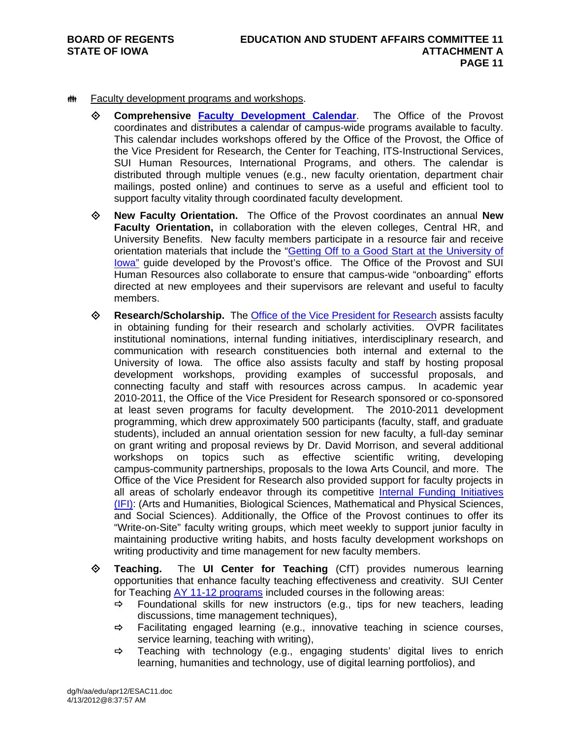## **## Faculty development programs and workshops.**

- **Comprehensive Faculty Development Calendar**. The Office of the Provost coordinates and distributes a calendar of campus-wide programs available to faculty. This calendar includes workshops offered by the Office of the Provost, the Office of the Vice President for Research, the Center for Teaching, ITS-Instructional Services, SUI Human Resources, International Programs, and others. The calendar is distributed through multiple venues (e.g., new faculty orientation, department chair mailings, posted online) and continues to serve as a useful and efficient tool to support faculty vitality through coordinated faculty development.
- **New Faculty Orientation.** The Office of the Provost coordinates an annual **New Faculty Orientation,** in collaboration with the eleven colleges, Central HR, and University Benefits. New faculty members participate in a resource fair and receive orientation materials that include the "Getting Off to a Good Start at the University of Iowa" guide developed by the Provost's office. The Office of the Provost and SUI Human Resources also collaborate to ensure that campus-wide "onboarding" efforts directed at new employees and their supervisors are relevant and useful to faculty members.
- **Research/Scholarship.** The Office of the Vice President for Research assists faculty in obtaining funding for their research and scholarly activities. OVPR facilitates institutional nominations, internal funding initiatives, interdisciplinary research, and communication with research constituencies both internal and external to the University of Iowa. The office also assists faculty and staff by hosting proposal development workshops, providing examples of successful proposals, and connecting faculty and staff with resources across campus. In academic year 2010-2011, the Office of the Vice President for Research sponsored or co-sponsored at least seven programs for faculty development. The 2010-2011 development programming, which drew approximately 500 participants (faculty, staff, and graduate students), included an annual orientation session for new faculty, a full-day seminar on grant writing and proposal reviews by Dr. David Morrison, and several additional workshops on topics such as effective scientific writing, developing campus-community partnerships, proposals to the Iowa Arts Council, and more. The Office of the Vice President for Research also provided support for faculty projects in all areas of scholarly endeavor through its competitive Internal Funding Initiatives (IFI): (Arts and Humanities, Biological Sciences, Mathematical and Physical Sciences, and Social Sciences). Additionally, the Office of the Provost continues to offer its "Write-on-Site" faculty writing groups, which meet weekly to support junior faculty in maintaining productive writing habits, and hosts faculty development workshops on writing productivity and time management for new faculty members.
- **Teaching.** The **UI Center for Teaching** (CfT) provides numerous learning opportunities that enhance faculty teaching effectiveness and creativity. SUI Center for Teaching AY 11-12 programs included courses in the following areas:
	- $\Rightarrow$  Foundational skills for new instructors (e.g., tips for new teachers, leading discussions, time management techniques),
	- $\Rightarrow$  Facilitating engaged learning (e.g., innovative teaching in science courses, service learning, teaching with writing),
	- $\Rightarrow$  Teaching with technology (e.g., engaging students' digital lives to enrich learning, humanities and technology, use of digital learning portfolios), and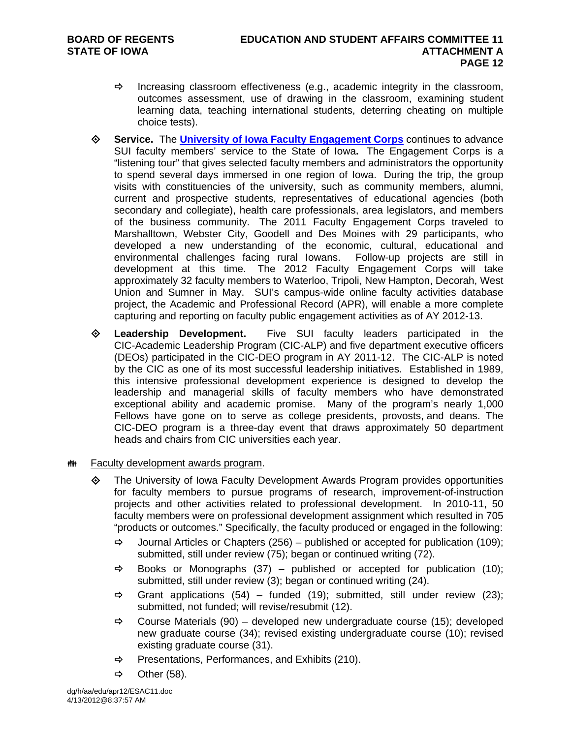- $\Rightarrow$  Increasing classroom effectiveness (e.g., academic integrity in the classroom, outcomes assessment, use of drawing in the classroom, examining student learning data, teaching international students, deterring cheating on multiple choice tests).
- **Service.** The **University of Iowa Faculty Engagement Corps** continues to advance SUI faculty members' service to the State of Iowa**.** The Engagement Corps is a "listening tour" that gives selected faculty members and administrators the opportunity to spend several days immersed in one region of Iowa. During the trip, the group visits with constituencies of the university, such as community members, alumni, current and prospective students, representatives of educational agencies (both secondary and collegiate), health care professionals, area legislators, and members of the business community. The 2011 Faculty Engagement Corps traveled to Marshalltown, Webster City, Goodell and Des Moines with 29 participants, who developed a new understanding of the economic, cultural, educational and environmental challenges facing rural Iowans. Follow-up projects are still in development at this time. The 2012 Faculty Engagement Corps will take approximately 32 faculty members to Waterloo, Tripoli, New Hampton, Decorah, West Union and Sumner in May. SUI's campus-wide online faculty activities database project, the Academic and Professional Record (APR), will enable a more complete capturing and reporting on faculty public engagement activities as of AY 2012-13.
- **Leadership Development.** Five SUI faculty leaders participated in the CIC-Academic Leadership Program (CIC-ALP) and five department executive officers (DEOs) participated in the CIC-DEO program in AY 2011-12. The CIC-ALP is noted by the CIC as one of its most successful leadership initiatives. Established in 1989, this intensive professional development experience is designed to develop the leadership and managerial skills of faculty members who have demonstrated exceptional ability and academic promise. Many of the program's nearly 1,000 Fellows have gone on to serve as college presidents, provosts, and deans. The CIC-DEO program is a three-day event that draws approximately 50 department heads and chairs from CIC universities each year.
- **## Faculty development awards program.** 
	- The University of Iowa Faculty Development Awards Program provides opportunities for faculty members to pursue programs of research, improvement-of-instruction projects and other activities related to professional development. In 2010-11, 50 faculty members were on professional development assignment which resulted in 705 "products or outcomes." Specifically, the faculty produced or engaged in the following:
		- $\Rightarrow$  Journal Articles or Chapters (256) published or accepted for publication (109); submitted, still under review (75); began or continued writing (72).
		- $\Rightarrow$  Books or Monographs (37) published or accepted for publication (10); submitted, still under review (3); began or continued writing (24).
		- $\Rightarrow$  Grant applications (54) funded (19); submitted, still under review (23); submitted, not funded; will revise/resubmit (12).
		- $\Rightarrow$  Course Materials (90) developed new undergraduate course (15); developed new graduate course (34); revised existing undergraduate course (10); revised existing graduate course (31).
		- $\Rightarrow$  Presentations, Performances, and Exhibits (210).
		- $\Rightarrow$  Other (58).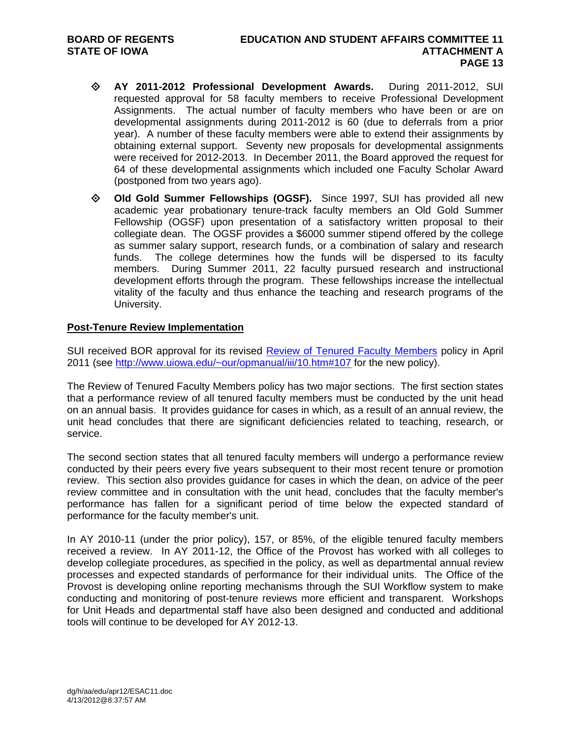- **AY 2011-2012 Professional Development Awards.** During 2011-2012, SUI requested approval for 58 faculty members to receive Professional Development Assignments. The actual number of faculty members who have been or are on developmental assignments during 2011-2012 is 60 (due to deferrals from a prior year). A number of these faculty members were able to extend their assignments by obtaining external support. Seventy new proposals for developmental assignments were received for 2012-2013. In December 2011, the Board approved the request for 64 of these developmental assignments which included one Faculty Scholar Award (postponed from two years ago).
- **Old Gold Summer Fellowships (OGSF).** Since 1997, SUI has provided all new academic year probationary tenure-track faculty members an Old Gold Summer Fellowship (OGSF) upon presentation of a satisfactory written proposal to their collegiate dean. The OGSF provides a \$6000 summer stipend offered by the college as summer salary support, research funds, or a combination of salary and research funds. The college determines how the funds will be dispersed to its faculty members. During Summer 2011, 22 faculty pursued research and instructional development efforts through the program. These fellowships increase the intellectual vitality of the faculty and thus enhance the teaching and research programs of the University.

## **Post-Tenure Review Implementation**

SUI received BOR approval for its revised Review of Tenured Faculty Members policy in April 2011 (see http://www.uiowa.edu/~our/opmanual/iii/10.htm#107 for the new policy).

The Review of Tenured Faculty Members policy has two major sections. The first section states that a performance review of all tenured faculty members must be conducted by the unit head on an annual basis. It provides guidance for cases in which, as a result of an annual review, the unit head concludes that there are significant deficiencies related to teaching, research, or service.

The second section states that all tenured faculty members will undergo a performance review conducted by their peers every five years subsequent to their most recent tenure or promotion review. This section also provides guidance for cases in which the dean, on advice of the peer review committee and in consultation with the unit head, concludes that the faculty member's performance has fallen for a significant period of time below the expected standard of performance for the faculty member's unit.

In AY 2010-11 (under the prior policy), 157, or 85%, of the eligible tenured faculty members received a review. In AY 2011-12, the Office of the Provost has worked with all colleges to develop collegiate procedures, as specified in the policy, as well as departmental annual review processes and expected standards of performance for their individual units. The Office of the Provost is developing online reporting mechanisms through the SUI Workflow system to make conducting and monitoring of post-tenure reviews more efficient and transparent. Workshops for Unit Heads and departmental staff have also been designed and conducted and additional tools will continue to be developed for AY 2012-13.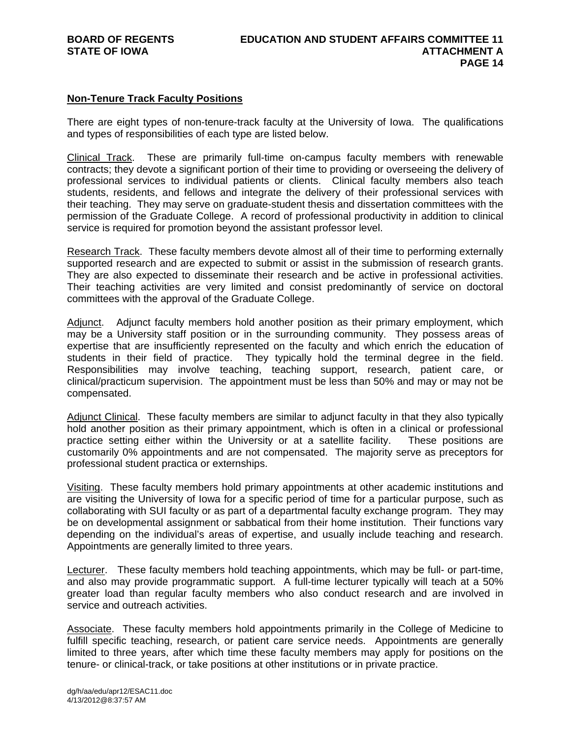## **Non-Tenure Track Faculty Positions**

There are eight types of non-tenure-track faculty at the University of Iowa. The qualifications and types of responsibilities of each type are listed below.

Clinical Track. These are primarily full-time on-campus faculty members with renewable contracts; they devote a significant portion of their time to providing or overseeing the delivery of professional services to individual patients or clients. Clinical faculty members also teach students, residents, and fellows and integrate the delivery of their professional services with their teaching. They may serve on graduate-student thesis and dissertation committees with the permission of the Graduate College. A record of professional productivity in addition to clinical service is required for promotion beyond the assistant professor level.

Research Track. These faculty members devote almost all of their time to performing externally supported research and are expected to submit or assist in the submission of research grants. They are also expected to disseminate their research and be active in professional activities. Their teaching activities are very limited and consist predominantly of service on doctoral committees with the approval of the Graduate College.

Adjunct. Adjunct faculty members hold another position as their primary employment, which may be a University staff position or in the surrounding community. They possess areas of expertise that are insufficiently represented on the faculty and which enrich the education of students in their field of practice. They typically hold the terminal degree in the field. Responsibilities may involve teaching, teaching support, research, patient care, or clinical/practicum supervision. The appointment must be less than 50% and may or may not be compensated.

Adjunct Clinical. These faculty members are similar to adjunct faculty in that they also typically hold another position as their primary appointment, which is often in a clinical or professional practice setting either within the University or at a satellite facility. These positions are customarily 0% appointments and are not compensated. The majority serve as preceptors for professional student practica or externships.

Visiting. These faculty members hold primary appointments at other academic institutions and are visiting the University of Iowa for a specific period of time for a particular purpose, such as collaborating with SUI faculty or as part of a departmental faculty exchange program. They may be on developmental assignment or sabbatical from their home institution. Their functions vary depending on the individual's areas of expertise, and usually include teaching and research. Appointments are generally limited to three years.

Lecturer. These faculty members hold teaching appointments, which may be full- or part-time, and also may provide programmatic support. A full-time lecturer typically will teach at a 50% greater load than regular faculty members who also conduct research and are involved in service and outreach activities.

Associate. These faculty members hold appointments primarily in the College of Medicine to fulfill specific teaching, research, or patient care service needs. Appointments are generally limited to three years, after which time these faculty members may apply for positions on the tenure- or clinical-track, or take positions at other institutions or in private practice.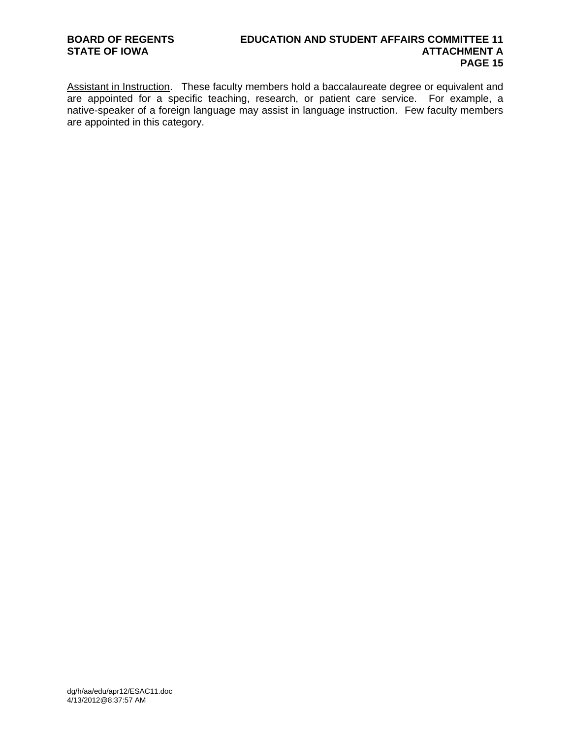Assistant in Instruction. These faculty members hold a baccalaureate degree or equivalent and are appointed for a specific teaching, research, or patient care service. For example, a native-speaker of a foreign language may assist in language instruction. Few faculty members are appointed in this category.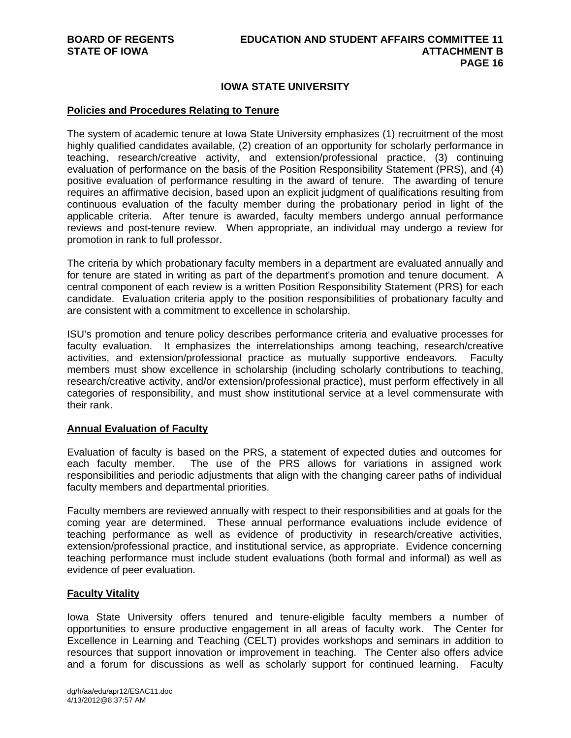## **IOWA STATE UNIVERSITY**

## **Policies and Procedures Relating to Tenure**

The system of academic tenure at Iowa State University emphasizes (1) recruitment of the most highly qualified candidates available, (2) creation of an opportunity for scholarly performance in teaching, research/creative activity, and extension/professional practice, (3) continuing evaluation of performance on the basis of the Position Responsibility Statement (PRS), and (4) positive evaluation of performance resulting in the award of tenure. The awarding of tenure requires an affirmative decision, based upon an explicit judgment of qualifications resulting from continuous evaluation of the faculty member during the probationary period in light of the applicable criteria. After tenure is awarded, faculty members undergo annual performance reviews and post-tenure review. When appropriate, an individual may undergo a review for promotion in rank to full professor.

The criteria by which probationary faculty members in a department are evaluated annually and for tenure are stated in writing as part of the department's promotion and tenure document. A central component of each review is a written Position Responsibility Statement (PRS) for each candidate. Evaluation criteria apply to the position responsibilities of probationary faculty and are consistent with a commitment to excellence in scholarship.

ISU's promotion and tenure policy describes performance criteria and evaluative processes for faculty evaluation. It emphasizes the interrelationships among teaching, research/creative activities, and extension/professional practice as mutually supportive endeavors. Faculty members must show excellence in scholarship (including scholarly contributions to teaching, research/creative activity, and/or extension/professional practice), must perform effectively in all categories of responsibility, and must show institutional service at a level commensurate with their rank.

## **Annual Evaluation of Faculty**

Evaluation of faculty is based on the PRS, a statement of expected duties and outcomes for each faculty member. The use of the PRS allows for variations in assigned work responsibilities and periodic adjustments that align with the changing career paths of individual faculty members and departmental priorities.

Faculty members are reviewed annually with respect to their responsibilities and at goals for the coming year are determined. These annual performance evaluations include evidence of teaching performance as well as evidence of productivity in research/creative activities, extension/professional practice, and institutional service, as appropriate. Evidence concerning teaching performance must include student evaluations (both formal and informal) as well as evidence of peer evaluation.

#### **Faculty Vitality**

Iowa State University offers tenured and tenure-eligible faculty members a number of opportunities to ensure productive engagement in all areas of faculty work. The Center for Excellence in Learning and Teaching (CELT) provides workshops and seminars in addition to resources that support innovation or improvement in teaching. The Center also offers advice and a forum for discussions as well as scholarly support for continued learning. Faculty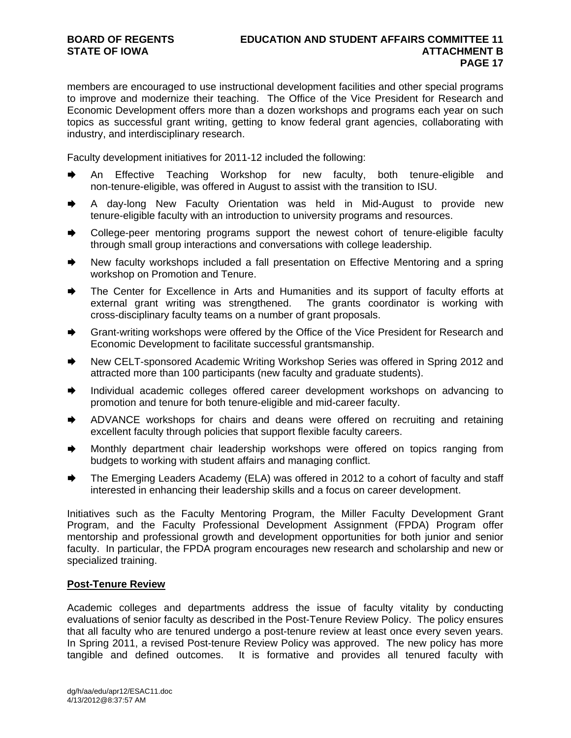members are encouraged to use instructional development facilities and other special programs to improve and modernize their teaching. The Office of the Vice President for Research and Economic Development offers more than a dozen workshops and programs each year on such topics as successful grant writing, getting to know federal grant agencies, collaborating with industry, and interdisciplinary research.

Faculty development initiatives for 2011-12 included the following:

- An Effective Teaching Workshop for new faculty, both tenure-eligible and non-tenure-eligible, was offered in August to assist with the transition to ISU.
- A day-long New Faculty Orientation was held in Mid-August to provide new tenure-eligible faculty with an introduction to university programs and resources.
- College-peer mentoring programs support the newest cohort of tenure-eligible faculty through small group interactions and conversations with college leadership.
- New faculty workshops included a fall presentation on Effective Mentoring and a spring workshop on Promotion and Tenure.
- The Center for Excellence in Arts and Humanities and its support of faculty efforts at external grant writing was strengthened. The grants coordinator is working with cross-disciplinary faculty teams on a number of grant proposals.
- Grant-writing workshops were offered by the Office of the Vice President for Research and Economic Development to facilitate successful grantsmanship.
- ♦ New CELT-sponsored Academic Writing Workshop Series was offered in Spring 2012 and attracted more than 100 participants (new faculty and graduate students).
- Individual academic colleges offered career development workshops on advancing to promotion and tenure for both tenure-eligible and mid-career faculty.
- ADVANCE workshops for chairs and deans were offered on recruiting and retaining excellent faculty through policies that support flexible faculty careers.
- Monthly department chair leadership workshops were offered on topics ranging from budgets to working with student affairs and managing conflict.
- The Emerging Leaders Academy (ELA) was offered in 2012 to a cohort of faculty and staff interested in enhancing their leadership skills and a focus on career development.

Initiatives such as the Faculty Mentoring Program, the Miller Faculty Development Grant Program, and the Faculty Professional Development Assignment (FPDA) Program offer mentorship and professional growth and development opportunities for both junior and senior faculty. In particular, the FPDA program encourages new research and scholarship and new or specialized training.

## **Post-Tenure Review**

Academic colleges and departments address the issue of faculty vitality by conducting evaluations of senior faculty as described in the Post-Tenure Review Policy. The policy ensures that all faculty who are tenured undergo a post-tenure review at least once every seven years. In Spring 2011, a revised Post-tenure Review Policy was approved. The new policy has more tangible and defined outcomes. It is formative and provides all tenured faculty with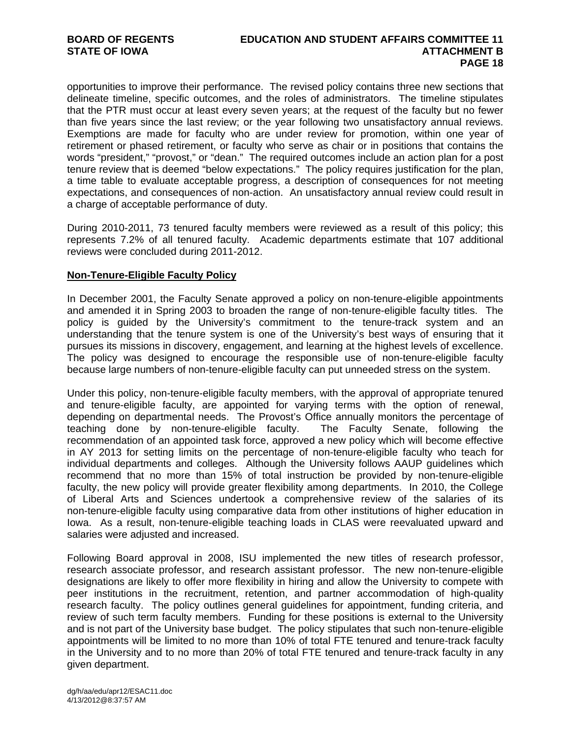## **BOARD OF REGENTS EDUCATION AND STUDENT AFFAIRS COMMITTEE 11 STATE OF IOWA ATTACHMENT B PAGE 18**

opportunities to improve their performance. The revised policy contains three new sections that delineate timeline, specific outcomes, and the roles of administrators. The timeline stipulates that the PTR must occur at least every seven years; at the request of the faculty but no fewer than five years since the last review; or the year following two unsatisfactory annual reviews. Exemptions are made for faculty who are under review for promotion, within one year of retirement or phased retirement, or faculty who serve as chair or in positions that contains the words "president," "provost," or "dean." The required outcomes include an action plan for a post tenure review that is deemed "below expectations." The policy requires justification for the plan, a time table to evaluate acceptable progress, a description of consequences for not meeting expectations, and consequences of non-action. An unsatisfactory annual review could result in a charge of acceptable performance of duty.

During 2010-2011, 73 tenured faculty members were reviewed as a result of this policy; this represents 7.2% of all tenured faculty. Academic departments estimate that 107 additional reviews were concluded during 2011-2012.

## **Non-Tenure-Eligible Faculty Policy**

In December 2001, the Faculty Senate approved a policy on non-tenure-eligible appointments and amended it in Spring 2003 to broaden the range of non-tenure-eligible faculty titles. The policy is guided by the University's commitment to the tenure-track system and an understanding that the tenure system is one of the University's best ways of ensuring that it pursues its missions in discovery, engagement, and learning at the highest levels of excellence. The policy was designed to encourage the responsible use of non-tenure-eligible faculty because large numbers of non-tenure-eligible faculty can put unneeded stress on the system.

Under this policy, non-tenure-eligible faculty members, with the approval of appropriate tenured and tenure-eligible faculty, are appointed for varying terms with the option of renewal, depending on departmental needs. The Provost's Office annually monitors the percentage of teaching done by non-tenure-eligible faculty. The Faculty Senate, following the recommendation of an appointed task force, approved a new policy which will become effective in AY 2013 for setting limits on the percentage of non-tenure-eligible faculty who teach for individual departments and colleges. Although the University follows AAUP guidelines which recommend that no more than 15% of total instruction be provided by non-tenure-eligible faculty, the new policy will provide greater flexibility among departments. In 2010, the College of Liberal Arts and Sciences undertook a comprehensive review of the salaries of its non-tenure-eligible faculty using comparative data from other institutions of higher education in Iowa. As a result, non-tenure-eligible teaching loads in CLAS were reevaluated upward and salaries were adjusted and increased.

Following Board approval in 2008, ISU implemented the new titles of research professor, research associate professor, and research assistant professor. The new non-tenure-eligible designations are likely to offer more flexibility in hiring and allow the University to compete with peer institutions in the recruitment, retention, and partner accommodation of high-quality research faculty. The policy outlines general guidelines for appointment, funding criteria, and review of such term faculty members. Funding for these positions is external to the University and is not part of the University base budget. The policy stipulates that such non-tenure-eligible appointments will be limited to no more than 10% of total FTE tenured and tenure-track faculty in the University and to no more than 20% of total FTE tenured and tenure-track faculty in any given department.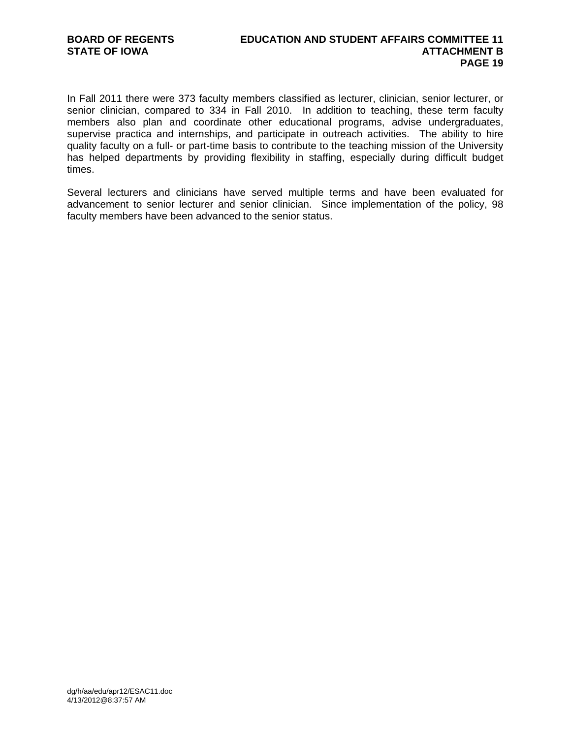In Fall 2011 there were 373 faculty members classified as lecturer, clinician, senior lecturer, or senior clinician, compared to 334 in Fall 2010. In addition to teaching, these term faculty members also plan and coordinate other educational programs, advise undergraduates, supervise practica and internships, and participate in outreach activities. The ability to hire quality faculty on a full- or part-time basis to contribute to the teaching mission of the University has helped departments by providing flexibility in staffing, especially during difficult budget times.

Several lecturers and clinicians have served multiple terms and have been evaluated for advancement to senior lecturer and senior clinician. Since implementation of the policy, 98 faculty members have been advanced to the senior status.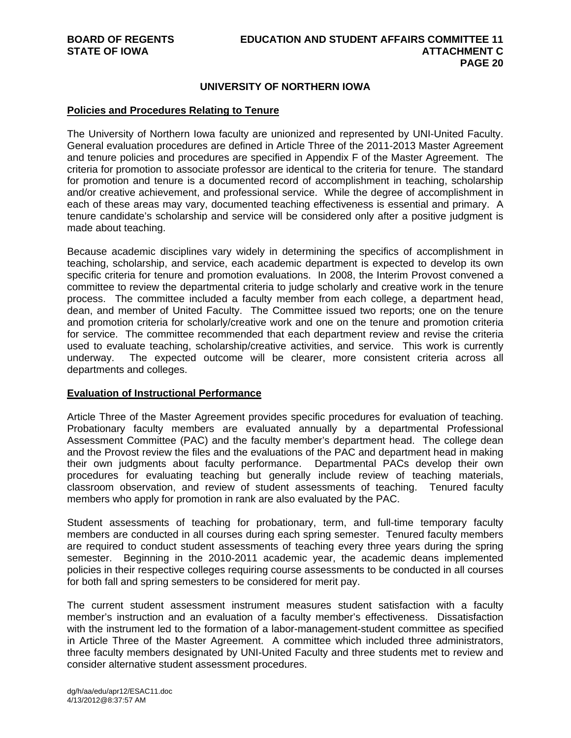## **UNIVERSITY OF NORTHERN IOWA**

## **Policies and Procedures Relating to Tenure**

The University of Northern Iowa faculty are unionized and represented by UNI-United Faculty. General evaluation procedures are defined in Article Three of the 2011-2013 Master Agreement and tenure policies and procedures are specified in Appendix F of the Master Agreement. The criteria for promotion to associate professor are identical to the criteria for tenure. The standard for promotion and tenure is a documented record of accomplishment in teaching, scholarship and/or creative achievement, and professional service. While the degree of accomplishment in each of these areas may vary, documented teaching effectiveness is essential and primary. A tenure candidate's scholarship and service will be considered only after a positive judgment is made about teaching.

Because academic disciplines vary widely in determining the specifics of accomplishment in teaching, scholarship, and service, each academic department is expected to develop its own specific criteria for tenure and promotion evaluations. In 2008, the Interim Provost convened a committee to review the departmental criteria to judge scholarly and creative work in the tenure process. The committee included a faculty member from each college, a department head, dean, and member of United Faculty. The Committee issued two reports; one on the tenure and promotion criteria for scholarly/creative work and one on the tenure and promotion criteria for service. The committee recommended that each department review and revise the criteria used to evaluate teaching, scholarship/creative activities, and service. This work is currently underway. The expected outcome will be clearer, more consistent criteria across all departments and colleges.

## **Evaluation of Instructional Performance**

Article Three of the Master Agreement provides specific procedures for evaluation of teaching. Probationary faculty members are evaluated annually by a departmental Professional Assessment Committee (PAC) and the faculty member's department head. The college dean and the Provost review the files and the evaluations of the PAC and department head in making their own judgments about faculty performance. Departmental PACs develop their own procedures for evaluating teaching but generally include review of teaching materials, classroom observation, and review of student assessments of teaching. Tenured faculty members who apply for promotion in rank are also evaluated by the PAC.

Student assessments of teaching for probationary, term, and full-time temporary faculty members are conducted in all courses during each spring semester. Tenured faculty members are required to conduct student assessments of teaching every three years during the spring semester. Beginning in the 2010-2011 academic year, the academic deans implemented policies in their respective colleges requiring course assessments to be conducted in all courses for both fall and spring semesters to be considered for merit pay.

The current student assessment instrument measures student satisfaction with a faculty member's instruction and an evaluation of a faculty member's effectiveness. Dissatisfaction with the instrument led to the formation of a labor-management-student committee as specified in Article Three of the Master Agreement. A committee which included three administrators, three faculty members designated by UNI-United Faculty and three students met to review and consider alternative student assessment procedures.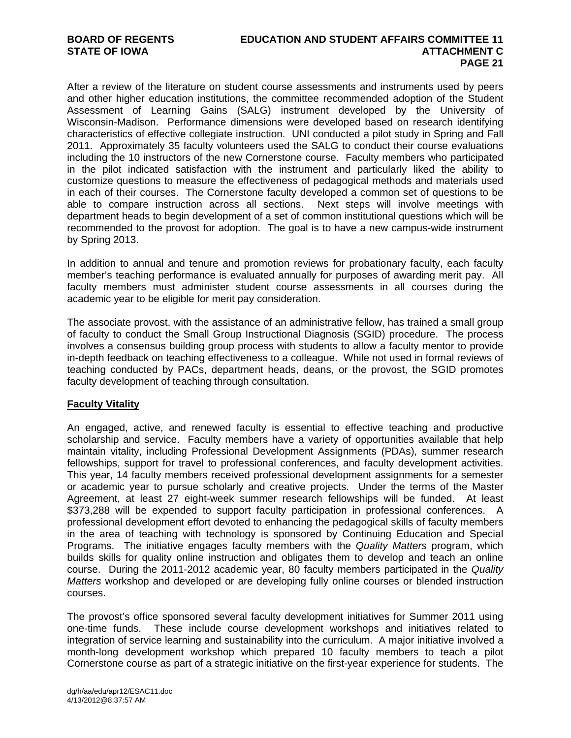After a review of the literature on student course assessments and instruments used by peers and other higher education institutions, the committee recommended adoption of the Student Assessment of Learning Gains (SALG) instrument developed by the University of Wisconsin-Madison. Performance dimensions were developed based on research identifying characteristics of effective collegiate instruction. UNI conducted a pilot study in Spring and Fall 2011. Approximately 35 faculty volunteers used the SALG to conduct their course evaluations including the 10 instructors of the new Cornerstone course. Faculty members who participated in the pilot indicated satisfaction with the instrument and particularly liked the ability to customize questions to measure the effectiveness of pedagogical methods and materials used in each of their courses. The Cornerstone faculty developed a common set of questions to be able to compare instruction across all sections. Next steps will involve meetings with department heads to begin development of a set of common institutional questions which will be recommended to the provost for adoption. The goal is to have a new campus-wide instrument by Spring 2013.

In addition to annual and tenure and promotion reviews for probationary faculty, each faculty member's teaching performance is evaluated annually for purposes of awarding merit pay. All faculty members must administer student course assessments in all courses during the academic year to be eligible for merit pay consideration.

The associate provost, with the assistance of an administrative fellow, has trained a small group of faculty to conduct the Small Group Instructional Diagnosis (SGID) procedure. The process involves a consensus building group process with students to allow a faculty mentor to provide in-depth feedback on teaching effectiveness to a colleague. While not used in formal reviews of teaching conducted by PACs, department heads, deans, or the provost, the SGID promotes faculty development of teaching through consultation.

## **Faculty Vitality**

An engaged, active, and renewed faculty is essential to effective teaching and productive scholarship and service. Faculty members have a variety of opportunities available that help maintain vitality, including Professional Development Assignments (PDAs), summer research fellowships, support for travel to professional conferences, and faculty development activities. This year, 14 faculty members received professional development assignments for a semester or academic year to pursue scholarly and creative projects. Under the terms of the Master Agreement, at least 27 eight-week summer research fellowships will be funded. At least \$373,288 will be expended to support faculty participation in professional conferences. A professional development effort devoted to enhancing the pedagogical skills of faculty members in the area of teaching with technology is sponsored by Continuing Education and Special Programs. The initiative engages faculty members with the *Quality Matters* program, which builds skills for quality online instruction and obligates them to develop and teach an online course. During the 2011-2012 academic year, 80 faculty members participated in the *Quality Matters* workshop and developed or are developing fully online courses or blended instruction courses.

The provost's office sponsored several faculty development initiatives for Summer 2011 using one-time funds. These include course development workshops and initiatives related to integration of service learning and sustainability into the curriculum. A major initiative involved a month-long development workshop which prepared 10 faculty members to teach a pilot Cornerstone course as part of a strategic initiative on the first-year experience for students. The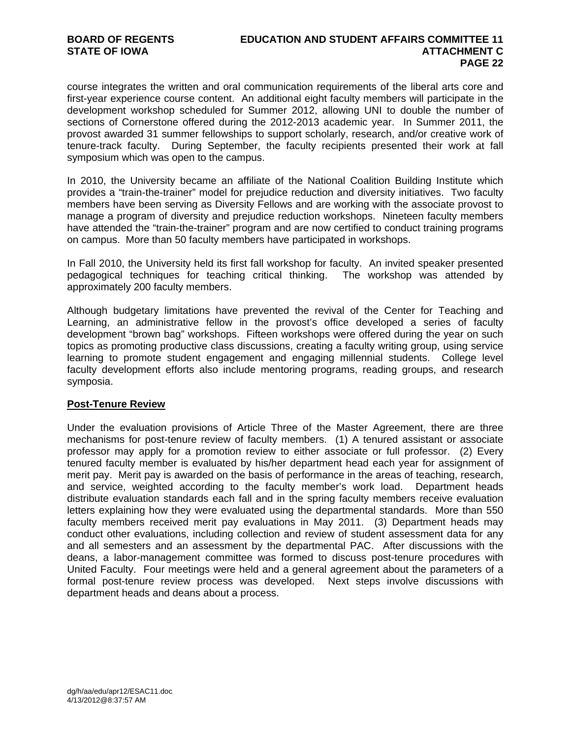course integrates the written and oral communication requirements of the liberal arts core and first-year experience course content. An additional eight faculty members will participate in the development workshop scheduled for Summer 2012, allowing UNI to double the number of sections of Cornerstone offered during the 2012-2013 academic year. In Summer 2011, the provost awarded 31 summer fellowships to support scholarly, research, and/or creative work of tenure-track faculty. During September, the faculty recipients presented their work at fall symposium which was open to the campus.

In 2010, the University became an affiliate of the National Coalition Building Institute which provides a "train-the-trainer" model for prejudice reduction and diversity initiatives. Two faculty members have been serving as Diversity Fellows and are working with the associate provost to manage a program of diversity and prejudice reduction workshops. Nineteen faculty members have attended the "train-the-trainer" program and are now certified to conduct training programs on campus. More than 50 faculty members have participated in workshops.

In Fall 2010, the University held its first fall workshop for faculty. An invited speaker presented pedagogical techniques for teaching critical thinking. The workshop was attended by approximately 200 faculty members.

Although budgetary limitations have prevented the revival of the Center for Teaching and Learning, an administrative fellow in the provost's office developed a series of faculty development "brown bag" workshops. Fifteen workshops were offered during the year on such topics as promoting productive class discussions, creating a faculty writing group, using service learning to promote student engagement and engaging millennial students. College level faculty development efforts also include mentoring programs, reading groups, and research symposia.

## **Post-Tenure Review**

Under the evaluation provisions of Article Three of the Master Agreement, there are three mechanisms for post-tenure review of faculty members. (1) A tenured assistant or associate professor may apply for a promotion review to either associate or full professor. (2) Every tenured faculty member is evaluated by his/her department head each year for assignment of merit pay. Merit pay is awarded on the basis of performance in the areas of teaching, research, and service, weighted according to the faculty member's work load. Department heads distribute evaluation standards each fall and in the spring faculty members receive evaluation letters explaining how they were evaluated using the departmental standards. More than 550 faculty members received merit pay evaluations in May 2011. (3) Department heads may conduct other evaluations, including collection and review of student assessment data for any and all semesters and an assessment by the departmental PAC. After discussions with the deans, a labor-management committee was formed to discuss post-tenure procedures with United Faculty. Four meetings were held and a general agreement about the parameters of a formal post-tenure review process was developed. Next steps involve discussions with department heads and deans about a process.